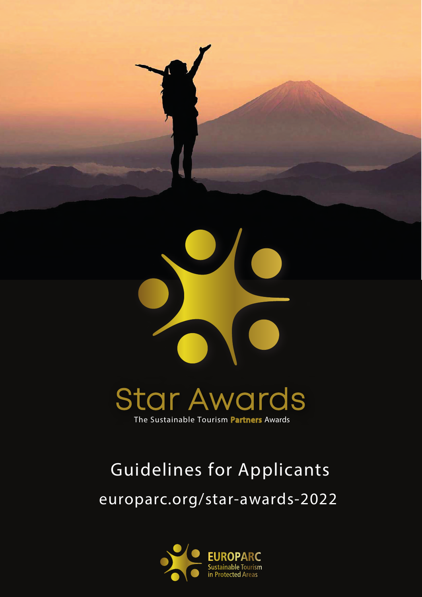

## **Star Awards** The Sustainable Tourism Partners Awards

# europarc.org/star-awards-2022 Guidelines for Applicants

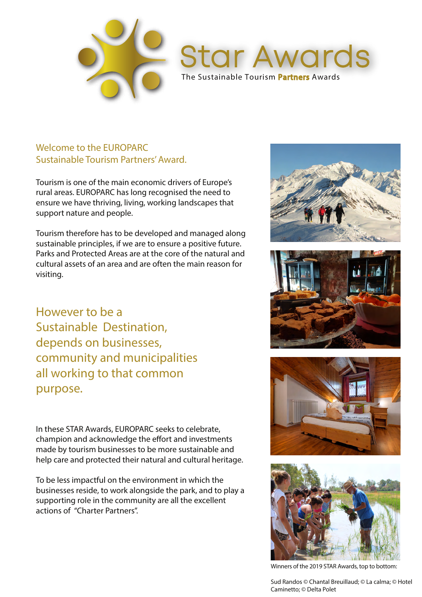

The Sustainable Tourism Partners Awards

**Star Awards** 

#### Welcome to the EUROPARC Sustainable Tourism Partners' Award.

Tourism is one of the main economic drivers of Europe's rural areas. EUROPARC has long recognised the need to ensure we have thriving, living, working landscapes that support nature and people.

Tourism therefore has to be developed and managed along sustainable principles, if we are to ensure a positive future. Parks and Protected Areas are at the core of the natural and cultural assets of an area and are often the main reason for visiting.

However to be a Sustainable Destination, depends on businesses, community and municipalities all working to that common purpose.

In these STAR Awards, EUROPARC seeks to celebrate, champion and acknowledge the effort and investments made by tourism businesses to be more sustainable and help care and protected their natural and cultural heritage.

To be less impactful on the environment in which the businesses reside, to work alongside the park, and to play a supporting role in the community are all the excellent actions of "Charter Partners".









Winners of the 2019 STAR Awards, top to bottom:

Sud Randos © Chantal Breuillaud; © La calma; © Hotel Caminetto; © Delta Polet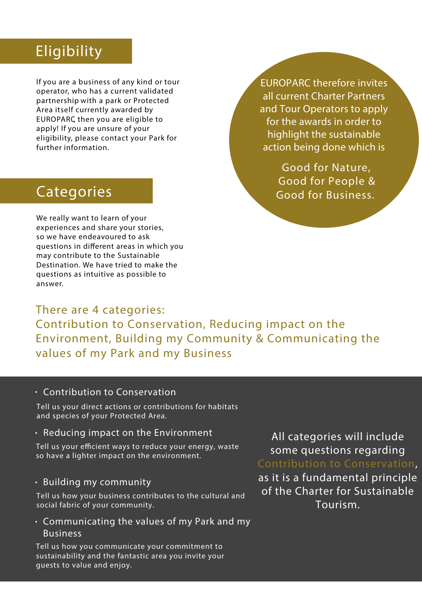### Eligibility

If you are a business of any kind or tour operator, who has a current validated partnership with a park or Protected Area itself currently awarded by EUROPARC, then you are eligible to apply! If you are unsure of your eligibility, please contact your Park for further information.

EUROPARC therefore invites all current Charter Partners and Tour Operators to apply for the awards in order to highlight the sustainable action being done which is

> Good for Nature, Good for People & Good for Business.

### Categories

We really want to learn of your experiences and share your stories, so we have endeavoured to ask questions in different areas in which you may contribute to the Sustainable Destination. We have tried to make the questions as intuitive as possible to answer.

There are 4 categories: Contribution to Conservation, Reducing impact on the Environment, Building my Community & Communicating the values of my Park and my Business

#### • Contribution to Conservation

Tell us your direct actions or contributions for habitats and species of your Protected Area.

#### $\cdot$  Reducing impact on the Environment

Tell us your efficient ways to reduce your energy, waste so have a lighter impact on the environment.

#### $\cdot$  Building my community

Tell us how your business contributes to the cultural and social fabric of your community.

Communicating the values of my Park and my •Business

Tell us how you communicate your commitment to sustainability and the fantastic area you invite your guests to value and enjoy.

All categories will include some questions regarding Contribution to Conservation,

as it is a fundamental principle of the Charter for Sustainable Tourism.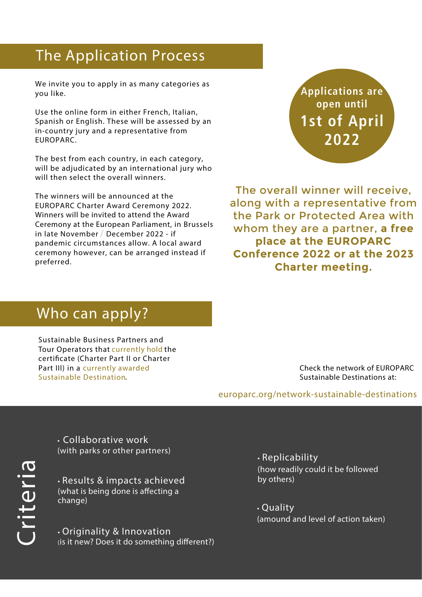### The Application Process

We invite you to apply in as many categories as you like.

Use the online form in either French, Italian, Spanish or English. These will be assessed by an in-country jury and a representative from EUROPARC.

The best from each country, in each category, will be adjudicated by an international jury who will then select the overall winners.

The winners will be announced at the EUROPARC Charter Award Ceremony 2022. Winners will be invited to attend the Award Ceremony at the European Parliament, in Brussels in late November / December 2022 - if pandemic circumstances allow. A local award ceremony however, can be arranged instead if preferred.

**Applications are open until 1st of April 2022**

The overall winner will receive, along with a representative from the Park or Protected Area with whom they are a partner, **a free place at the EUROPARC Conference 2022 or at the 2023 Charter meeting.**

### Who can apply?

Sustainable Business Partners and Tour Operators that currently hold the certificate (Charter Part II or Charter Part III) in a currently awarded Sustainable Destination.

encent the network of Editor<br>Sustainable Destinations at: Check the network of EUROPARC

europarc.org/network-sustainable-destinations

Cri teri **P**  • Collaborative work (with parks or other partners)

• Results & impacts achieved (what is being done is affecting a change)

• Originality & Innovation (is it new? Does it do something different?) • Replicability (how readily could it be followed by others)

• Quality (amound and level of action taken)